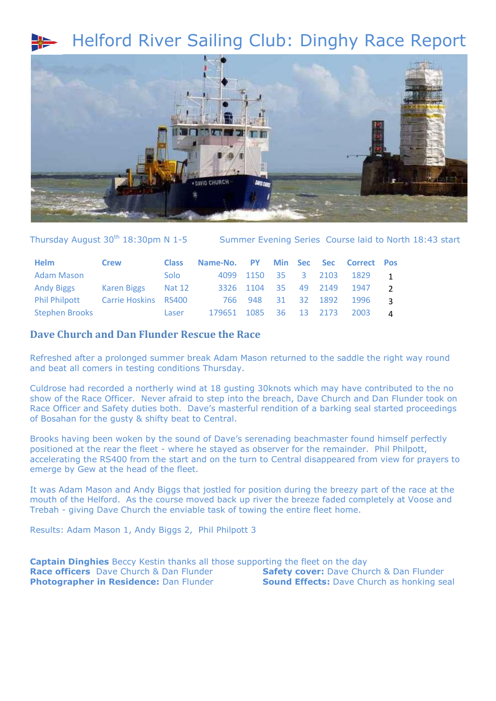## Helford River Sailing Club: Dinghy Race Report



Thursday August 30<sup>th</sup> 18:30pm N 1-5 Summer Evening Series Course laid to North 18:43 start

| Helm                                      | <b>Crew</b>        | <b>Class</b> | Name-No. PY Min Sec Sec Correct Pos |  |  |                               |  |
|-------------------------------------------|--------------------|--------------|-------------------------------------|--|--|-------------------------------|--|
| <b>Adam Mason</b>                         |                    | Solo         |                                     |  |  | 4099 1150 35 3 2103 1829 1    |  |
| <b>Andy Biggs</b>                         | Karen Biggs Nat 12 |              |                                     |  |  | 3326 1104 35 49 2149 1947 2   |  |
| <b>Phil Philpott Carrie Hoskins RS400</b> |                    |              |                                     |  |  | 766 948 31 32 1892 1996 3     |  |
| <b>Stephen Brooks</b>                     |                    | Laser        |                                     |  |  | 179651 1085 36 13 2173 2003 4 |  |

## **Dave Church and Dan Flunder Rescue the Race**

Refreshed after a prolonged summer break Adam Mason returned to the saddle the right way round and beat all comers in testing conditions Thursday.

Culdrose had recorded a northerly wind at 18 gusting 30knots which may have contributed to the no show of the Race Officer. Never afraid to step into the breach, Dave Church and Dan Flunder took on Race Officer and Safety duties both. Dave's masterful rendition of a barking seal started proceedings of Bosahan for the gusty & shifty beat to Central.

Brooks having been woken by the sound of Dave's serenading beachmaster found himself perfectly positioned at the rear the fleet - where he stayed as observer for the remainder. Phil Philpott, accelerating the RS400 from the start and on the turn to Central disappeared from view for prayers to emerge by Gew at the head of the fleet.

It was Adam Mason and Andy Biggs that jostled for position during the breezy part of the race at the mouth of the Helford. As the course moved back up river the breeze faded completely at Voose and Trebah - giving Dave Church the enviable task of towing the entire fleet home.

Results: Adam Mason 1, Andy Biggs 2, Phil Philpott 3

**Captain Dinghies** Beccy Kestin thanks all those supporting the fleet on the day **Race officers** Dave Church & Dan Flunder **Safety cover:** Dave Church & Dan Flunder **Photographer in Residence:** Dan Flunder **Sound Effects:** Dave Church as honking seal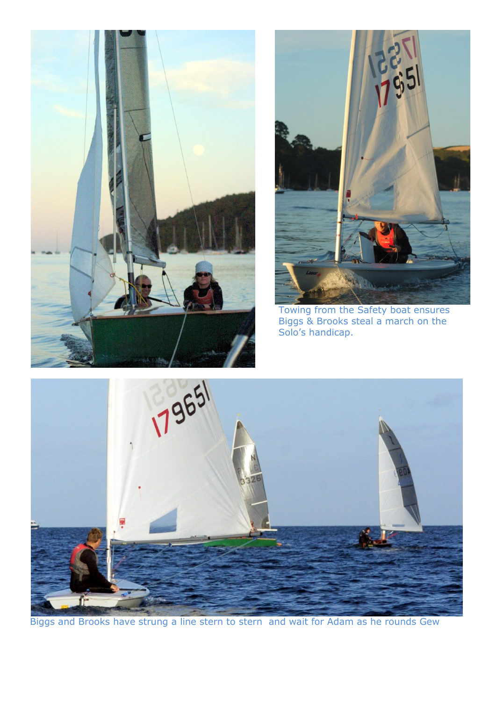



Towing from the Safety boat ensures Biggs & Brooks steal a march on the Solo's handicap.



Biggs and Brooks have strung a line stern to stern and wait for Adam as he rounds Gew